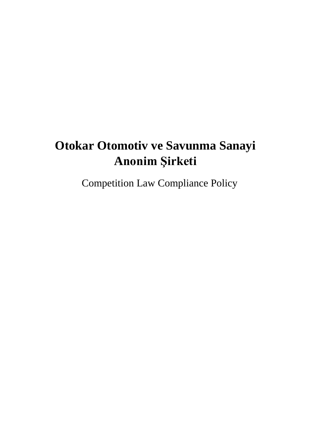# **Otokar Otomotiv ve Savunma Sanayi Anonim Şirketi**

Competition Law Compliance Policy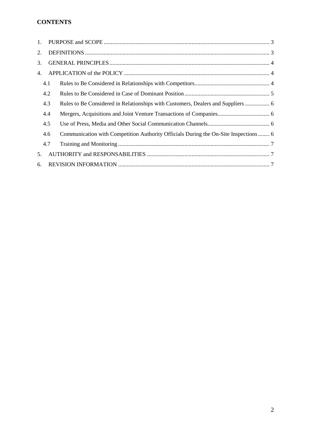# **CONTENTS**

| 1. |     |                                                                                     |  |
|----|-----|-------------------------------------------------------------------------------------|--|
| 2. |     |                                                                                     |  |
| 3. |     |                                                                                     |  |
| 4. |     |                                                                                     |  |
|    | 4.1 |                                                                                     |  |
|    | 4.2 |                                                                                     |  |
|    | 4.3 | Rules to Be Considered in Relationships with Customers, Dealers and Suppliers  6    |  |
|    | 4.4 |                                                                                     |  |
|    | 4.5 |                                                                                     |  |
|    | 4.6 | Communication with Competition Authority Officials During the On-Site Inspections 6 |  |
|    | 4.7 |                                                                                     |  |
| 5. |     |                                                                                     |  |
| 6. |     |                                                                                     |  |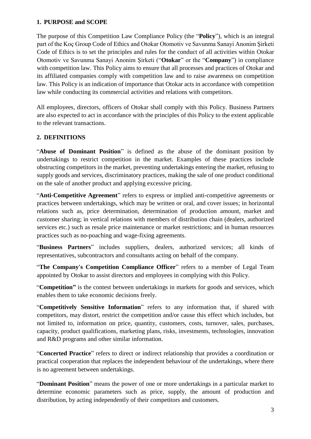#### <span id="page-2-0"></span>**1. PURPOSE and SCOPE**

The purpose of this Competition Law Compliance Policy (the "**Policy**"), which is an integral part of the Koç Group Code of Ethics and Otokar Otomotiv ve Savunma Sanayi Anonim Şirketi Code of Ethics is to set the principles and rules for the conduct of all activities within Otokar Otomotiv ve Savunma Sanayi Anonim Şirketi ("**Otokar**" or the "**Company**") in compliance with competition law. This Policy aims to ensure that all processes and practices of Otokar and its affiliated companies comply with competition law and to raise awareness on competition law. This Policy is an indication of importance that Otokar acts in accordance with competition law while conducting its commercial activities and relations with competitors.

All employees, directors, officers of Otokar shall comply with this Policy. Business Partners are also expected to act in accordance with the principles of this Policy to the extent applicable to the relevant transactions.

#### <span id="page-2-1"></span>**2. DEFINITIONS**

"**Abuse of Dominant Position**" is defined as the abuse of the dominant position by undertakings to restrict competition in the market. Examples of these practices include obstructing competitors in the market, preventing undertakings entering the market, refusing to supply goods and services, discriminatory practices, making the sale of one product conditional on the sale of another product and applying excessive pricing.

"**Anti-Competitive Agreement**" refers to express or implied anti-competitive agreements or practices between undertakings, which may be written or oral, and cover issues; in horizontal relations such as, price determination, determination of production amount, market and customer sharing; in vertical relations with members of distribution chain (dealers, authorized services etc.) such as resale price maintenance or market restrictions; and in human resources practices such as no-poaching and wage-fixing agreements.

"**Business Partners**" includes suppliers, dealers, authorized services; all kinds of representatives, subcontractors and consultants acting on behalf of the company.

"**The Company's Competition Compliance Officer**" refers to a member of Legal Team appointed by Otokar to assist directors and employees in complying with this Policy.

"**Competition"** is the contest between undertakings in markets for goods and services, which enables them to take economic decisions freely.

"**Competitively Sensitive Information**" refers to any information that, if shared with competitors, may distort, restrict the competition and/or cause this effect which includes, but not limited to, information on price, quantity, customers, costs, turnover, sales, purchases, capacity, product qualifications, marketing plans, risks, investments, technologies, innovation and R&D programs and other similar information.

"**Concerted Practice**" refers to direct or indirect relationship that provides a coordination or practical cooperation that replaces the independent behaviour of the undertakings, where there is no agreement between undertakings.

"**Dominant Position**" means the power of one or more undertakings in a particular market to determine economic parameters such as price, supply, the amount of production and distribution, by acting independently of their competitors and customers.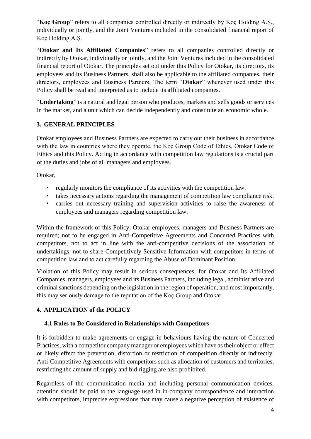"**Koç Group**" refers to all companies controlled directly or indirectly by Koç Holding A.Ş., individually or jointly, and the Joint Ventures included in the consolidated financial report of Koç Holding A.Ş.

"**Otokar and Its Affiliated Companies**" refers to all companies controlled directly or indirectly by Otokar, individually or jointly, and the Joint Ventures included in the consolidated financial report of Otokar. The principles set out under this Policy for Otokar, its directors, its employees and its Business Partners, shall also be applicable to the affiliated companies, their directors, employees and Business Partners. The term "**Otokar**" whenever used under this Policy shall be read and interpreted as to include its affiliated companies.

"**Undertaking**" is a natural and legal person who produces, markets and sells goods or services in the market, and a unit which can decide independently and constitute an economic whole.

## <span id="page-3-0"></span>**3. GENERAL PRINCIPLES**

Otokar employees and Business Partners are expected to carry out their business in accordance with the law in countries where they operate, the Koc Group Code of Ethics, Otokar Code of Ethics and this Policy. Acting in accordance with competition law regulations is a crucial part of the duties and jobs of all managers and employees.

Otokar,

- regularly monitors the compliance of its activities with the competition law.
- takes necessary actions regarding the management of competition law compliance risk.
- carries out necessary training and supervision activities to raise the awareness of employees and managers regarding competition law.

Within the framework of this Policy, Otokar employees, managers and Business Partners are required; not to be engaged in Anti-Competitive Agreements and Concerted Practices with competitors, not to act in line with the anti-competitive decisions of the association of undertakings, not to share Competitively Sensitive Information with competitors in terms of competition law and to act carefully regarding the Abuse of Dominant Position.

Violation of this Policy may result in serious consequences, for Otokar and Its Affiliated Companies, managers, employees and its Business Partners, including legal, administrative and criminal sanctions depending on the legislation in the region of operation, and most importantly, this may seriously damage to the reputation of the Koç Group and Otokar.

## <span id="page-3-1"></span>**4. APPLICATION of the POLICY**

## <span id="page-3-2"></span>**4.1 Rules to Be Considered in Relationships with Competitors**

It is forbidden to make agreements or engage in behaviours having the nature of Concerted Practices, with a competitor company manager or employees which have as their object or effect or likely effect the prevention, distortion or restriction of competition directly or indirectly. Anti-Competitive Agreements with competitors such as allocation of customers and territories, restricting the amount of supply and bid rigging are also prohibited.

Regardless of the communication media and including personal communication devices, attention should be paid to the language used in in-company correspondence and interaction with competitors, imprecise expressions that may cause a negative perception of existence of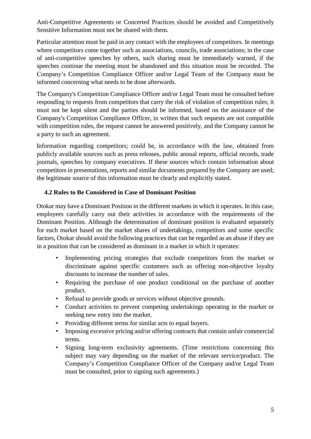Anti-Competitive Agreements or Concerted Practices should be avoided and Competitively Sensitive Information must not be shared with them.

Particular attention must be paid in any contact with the employees of competitors. In meetings where competitors come together such as associations, councils, trade associations; in the case of anti-competitive speeches by others, such sharing must be immediately warned, if the speeches continue the meeting must be abandoned and this situation must be recorded. The Company's Competition Compliance Officer and/or Legal Team of the Company must be informed concerning what needs to be done afterwards.

The Company's Competition Compliance Officer and/or Legal Team must be consulted before responding to requests from competitors that carry the risk of violation of competition rules; it must not be kept silent and the parties should be informed, based on the assistance of the Company's Competition Compliance Officer, in written that such requests are not compatible with competition rules, the request cannot be answered positively, and the Company cannot be a party to such an agreement.

Information regarding competitors; could be, in accordance with the law, obtained from publicly available sources such as press releases, public annual reports, official records, trade journals, speeches by company executives. If these sources which contain information about competitors in presentations, reports and similar documents prepared by the Company are used; the legitimate source of this information must be clearly and explicitly stated.

### <span id="page-4-0"></span>**4.2 Rules to Be Considered in Case of Dominant Position**

Otokar may have a Dominant Position in the different markets in which it operates. In this case, employees carefully carry out their activities in accordance with the requirements of the Dominant Position. Although the determination of dominant position is evaluated separately for each market based on the market shares of undertakings, competitors and some specific factors, Otokar should avoid the following practices that can be regarded as an abuse if they are in a position that can be considered as dominant in a market in which it operates:

- Implementing pricing strategies that exclude competitors from the market or discriminate against specific customers such as offering non-objective loyalty discounts to increase the number of sales.
- Requiring the purchase of one product conditional on the purchase of another product.
- Refusal to provide goods or services without objective grounds.
- Conduct activities to prevent competing undertakings operating in the market or seeking new entry into the market.
- Providing different terms for similar acts to equal buyers.
- Imposing excessive pricing and/or offering contracts that contain unfair commercial terms.
- Signing long-term exclusivity agreements. (Time restrictions concerning this subject may vary depending on the market of the relevant service/product. The Company's Competition Compliance Officer of the Company and/or Legal Team must be consulted, prior to signing such agreements.)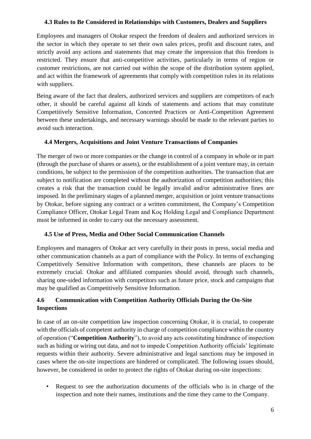#### <span id="page-5-0"></span>**4.3 Rules to Be Considered in Relationships with Customers, Dealers and Suppliers**

Employees and managers of Otokar respect the freedom of dealers and authorized services in the sector in which they operate to set their own sales prices, profit and discount rates, and strictly avoid any actions and statements that may create the impression that this freedom is restricted. They ensure that anti-competitive activities, particularly in terms of region or customer restrictions, are not carried out within the scope of the distribution system applied, and act within the framework of agreements that comply with competition rules in its relations with suppliers.

Being aware of the fact that dealers, authorized services and suppliers are competitors of each other, it should be careful against all kinds of statements and actions that may constitute Competitively Sensitive Information, Concerted Practices or Anti-Competition Agreement between these undertakings, and necessary warnings should be made to the relevant parties to avoid such interaction.

#### <span id="page-5-1"></span>**4.4 Mergers, Acquisitions and Joint Venture Transactions of Companies**

The merger of two or more companies or the change in control of a company in whole or in part (through the purchase of shares or assets), or the establishment of a joint venture may, in certain conditions, be subject to the permission of the competition authorities. The transaction that are subject to notification are completed without the authorization of competition authorities; this creates a risk that the transaction could be legally invalid and/or administrative fines are imposed. In the preliminary stages of a planned merger, acquisition or joint venture transactions by Otokar, before signing any contract or a written commitment, the Company's Competition Compliance Officer, Otokar Legal Team and Koç Holding Legal and Compliance Department must be informed in order to carry out the necessary assessment.

#### <span id="page-5-2"></span>**4.5 Use of Press, Media and Other Social Communication Channels**

Employees and managers of Otokar act very carefully in their posts in press, social media and other communication channels as a part of compliance with the Policy. In terms of exchanging Competitively Sensitive Information with competitors, these channels are places to be extremely crucial. Otokar and affiliated companies should avoid, through such channels, sharing one-sided information with competitors such as future price, stock and campaigns that may be qualified as Competitively Sensitive Information.

## <span id="page-5-3"></span>**4.6 Communication with Competition Authority Officials During the On-Site Inspections**

In case of an on-site competition law inspection concerning Otokar, it is crucial, to cooperate with the officials of competent authority in charge of competition compliance within the country of operation ("**Competition Authority**"), to avoid any acts constituting hindrance of inspection such as hiding or wiring out data, and not to impede Competition Authority officials' legitimate requests within their authority. Severe administrative and legal sanctions may be imposed in cases where the on-site inspections are hindered or complicated. The following issues should, however, be considered in order to protect the rights of Otokar during on-site inspections:

• Request to see the authorization documents of the officials who is in charge of the inspection and note their names, institutions and the time they came to the Company.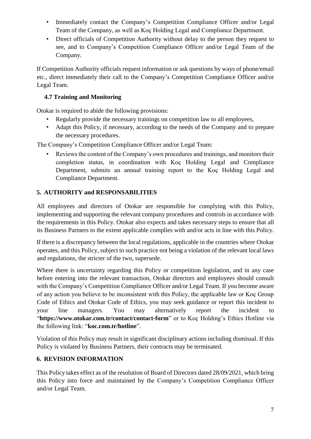- Immediately contact the Company's Competition Compliance Officer and/or Legal Team of the Company, as well as Koç Holding Legal and Compliance Department.
- Direct officials of Competition Authority without delay to the person they request to see, and to Company's Competition Compliance Officer and/or Legal Team of the Company.

If Competition Authority officials request information or ask questions by ways of phone/email etc., direct immediately their call to the Company's Competition Compliance Officer and/or Legal Team.

## <span id="page-6-0"></span>**4.7 Training and Monitoring**

Otokar is required to abide the following provisions:

- Regularly provide the necessary trainings on competition law to all employees,
- Adapt this Policy, if necessary, according to the needs of the Company and to prepare the necessary procedures.

The Company's Competition Compliance Officer and/or Legal Team:

• Reviews the content of the Company's own procedures and trainings, and monitors their completion status, in coordination with Koç Holding Legal and Compliance Department, submits an annual training report to the Koç Holding Legal and Compliance Department.

# <span id="page-6-1"></span>**5. AUTHORITY and RESPONSABILITIES**

All employees and directors of Otokar are responsible for complying with this Policy, implementing and supporting the relevant company procedures and controls in accordance with the requirements in this Policy. Otokar also expects and takes necessary steps to ensure that all its Business Partners to the extent applicable complies with and/or acts in line with this Policy.

If there is a discrepancy between the local regulations, applicable in the countries where Otokar operates, and this Policy, subject to such practice not being a violation of the relevant local laws and regulations, the stricter of the two, supersede.

Where there is uncertainty regarding this Policy or competition legislation, and in any case before entering into the relevant transaction, Otokar directors and employees should consult with the Company's Competition Compliance Officer and/or Legal Team. If you become aware of any action you believe to be inconsistent with this Policy, the applicable law or Koç Group Code of Ethics and Otokar Code of Ethics, you may seek guidance or report this incident to your line managers. You may alternatively report the incident to "**https://www.otokar.com.tr/contact/contact-form**" or to Koç Holding's Ethics Hotline via the following link: "**koc.com.tr/hotline**".

Violation of this Policy may result in significant disciplinary actions including dismissal. If this Policy is violated by Business Partners, their contracts may be terminated.

# <span id="page-6-2"></span>**6. REVISION INFORMATION**

This Policy takes effect as of the resolution of Board of Directors dated 28/09/2021, which bring this Policy into force and maintained by the Company's Competition Compliance Officer and/or Legal Team.